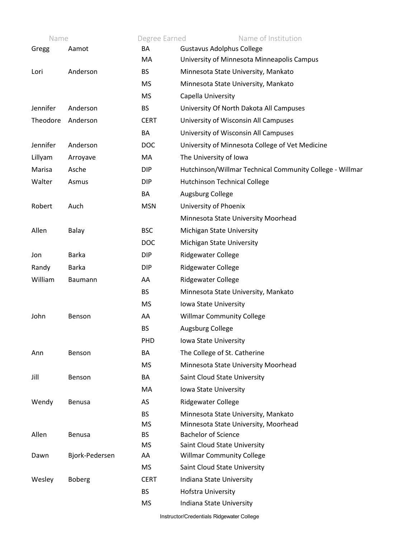| Name     |                | Degree Earned   | Name of Institution                                              |
|----------|----------------|-----------------|------------------------------------------------------------------|
| Gregg    | Aamot          | BA              | <b>Gustavus Adolphus College</b>                                 |
|          |                | MA              | University of Minnesota Minneapolis Campus                       |
| Lori     | Anderson       | <b>BS</b>       | Minnesota State University, Mankato                              |
|          |                | <b>MS</b>       | Minnesota State University, Mankato                              |
|          |                | <b>MS</b>       | Capella University                                               |
| Jennifer | Anderson       | <b>BS</b>       | University Of North Dakota All Campuses                          |
| Theodore | Anderson       | <b>CERT</b>     | University of Wisconsin All Campuses                             |
|          |                | BA              | University of Wisconsin All Campuses                             |
| Jennifer | Anderson       | <b>DOC</b>      | University of Minnesota College of Vet Medicine                  |
| Lillyam  | Arroyave       | MA              | The University of Iowa                                           |
| Marisa   | Asche          | <b>DIP</b>      | Hutchinson/Willmar Technical Community College - Willmar         |
| Walter   | Asmus          | <b>DIP</b>      | <b>Hutchinson Technical College</b>                              |
|          |                | BA              | Augsburg College                                                 |
| Robert   | Auch           | <b>MSN</b>      | University of Phoenix                                            |
|          |                |                 | Minnesota State University Moorhead                              |
| Allen    | Balay          | <b>BSC</b>      | Michigan State University                                        |
|          |                | <b>DOC</b>      | Michigan State University                                        |
| Jon      | <b>Barka</b>   | <b>DIP</b>      | <b>Ridgewater College</b>                                        |
| Randy    | <b>Barka</b>   | <b>DIP</b>      | <b>Ridgewater College</b>                                        |
| William  | Baumann        | AA              | <b>Ridgewater College</b>                                        |
|          |                | <b>BS</b>       | Minnesota State University, Mankato                              |
|          |                | <b>MS</b>       | Iowa State University                                            |
| John     | Benson         | AA              | <b>Willmar Community College</b>                                 |
|          |                | <b>BS</b>       | Augsburg College                                                 |
|          |                | <b>PHD</b>      | lowa State University                                            |
| Ann      | Benson         | BA              | The College of St. Catherine                                     |
|          |                | <b>MS</b>       | Minnesota State University Moorhead                              |
| Jill     | Benson         | BA              | Saint Cloud State University                                     |
|          |                | MA              | Iowa State University                                            |
| Wendy    | <b>Benusa</b>  | AS              | <b>Ridgewater College</b>                                        |
|          |                | <b>BS</b>       | Minnesota State University, Mankato                              |
|          |                | <b>MS</b>       | Minnesota State University, Moorhead                             |
| Allen    | <b>Benusa</b>  | <b>BS</b>       | <b>Bachelor of Science</b>                                       |
| Dawn     | Bjork-Pedersen | <b>MS</b><br>AA | Saint Cloud State University<br><b>Willmar Community College</b> |
|          |                | <b>MS</b>       | Saint Cloud State University                                     |
| Wesley   | <b>Boberg</b>  | <b>CERT</b>     | Indiana State University                                         |
|          |                | <b>BS</b>       | Hofstra University                                               |
|          |                | MS              | Indiana State University                                         |
|          |                |                 |                                                                  |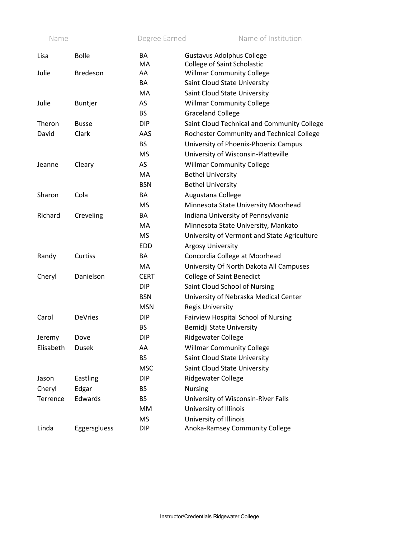| Name      |                 | Degree Earned | Name of Institution                         |
|-----------|-----------------|---------------|---------------------------------------------|
| Lisa      | <b>Bolle</b>    | BA            | <b>Gustavus Adolphus College</b>            |
|           |                 | MA            | <b>College of Saint Scholastic</b>          |
| Julie     | <b>Bredeson</b> | AA            | <b>Willmar Community College</b>            |
|           |                 | BA            | Saint Cloud State University                |
|           |                 | МA            | Saint Cloud State University                |
| Julie     | <b>Buntjer</b>  | AS            | <b>Willmar Community College</b>            |
|           |                 | <b>BS</b>     | <b>Graceland College</b>                    |
| Theron    | <b>Busse</b>    | <b>DIP</b>    | Saint Cloud Technical and Community College |
| David     | Clark           | AAS           | Rochester Community and Technical College   |
|           |                 | <b>BS</b>     | University of Phoenix-Phoenix Campus        |
|           |                 | <b>MS</b>     | University of Wisconsin-Platteville         |
| Jeanne    | Cleary          | AS            | <b>Willmar Community College</b>            |
|           |                 | MA            | <b>Bethel University</b>                    |
|           |                 | <b>BSN</b>    | <b>Bethel University</b>                    |
| Sharon    | Cola            | BA            | Augustana College                           |
|           |                 | <b>MS</b>     | Minnesota State University Moorhead         |
| Richard   | Creveling       | BA            | Indiana University of Pennsylvania          |
|           |                 | МA            | Minnesota State University, Mankato         |
|           |                 | <b>MS</b>     | University of Vermont and State Agriculture |
|           |                 | <b>EDD</b>    | <b>Argosy University</b>                    |
| Randy     | Curtiss         | BA            | Concordia College at Moorhead               |
|           |                 | МA            | University Of North Dakota All Campuses     |
| Cheryl    | Danielson       | <b>CERT</b>   | <b>College of Saint Benedict</b>            |
|           |                 | <b>DIP</b>    | Saint Cloud School of Nursing               |
|           |                 | <b>BSN</b>    | University of Nebraska Medical Center       |
|           |                 | <b>MSN</b>    | <b>Regis University</b>                     |
| Carol     | <b>DeVries</b>  | <b>DIP</b>    | Fairview Hospital School of Nursing         |
|           |                 | <b>BS</b>     | Bemidji State University                    |
| Jeremy    | Dove            | <b>DIP</b>    | Ridgewater College                          |
| Elisabeth | <b>Dusek</b>    | AA            | <b>Willmar Community College</b>            |
|           |                 | <b>BS</b>     | Saint Cloud State University                |
|           |                 | <b>MSC</b>    | Saint Cloud State University                |
| Jason     | Eastling        | <b>DIP</b>    | Ridgewater College                          |
| Cheryl    | Edgar           | <b>BS</b>     | <b>Nursing</b>                              |
| Terrence  | Edwards         | <b>BS</b>     | University of Wisconsin-River Falls         |
|           |                 | MM            | University of Illinois                      |
|           |                 | <b>MS</b>     | University of Illinois                      |
| Linda     | Eggersgluess    | DIP           | Anoka-Ramsey Community College              |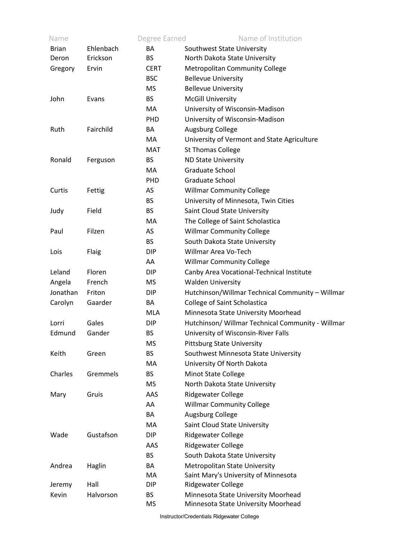| Name         |           | Degree Earned | Name of Institution                               |
|--------------|-----------|---------------|---------------------------------------------------|
| <b>Brian</b> | Ehlenbach | BA            | Southwest State University                        |
| Deron        | Erickson  | BS.           | North Dakota State University                     |
| Gregory      | Ervin     | <b>CERT</b>   | <b>Metropolitan Community College</b>             |
|              |           | <b>BSC</b>    | <b>Bellevue University</b>                        |
|              |           | MS            | <b>Bellevue University</b>                        |
| John         | Evans     | BS.           | <b>McGill University</b>                          |
|              |           | МA            | University of Wisconsin-Madison                   |
|              |           | <b>PHD</b>    | University of Wisconsin-Madison                   |
| Ruth         | Fairchild | BA            | Augsburg College                                  |
|              |           | MA.           | University of Vermont and State Agriculture       |
|              |           | MAT           | <b>St Thomas College</b>                          |
| Ronald       | Ferguson  | BS.           | <b>ND State University</b>                        |
|              |           | МA            | Graduate School                                   |
|              |           | PHD           | Graduate School                                   |
| Curtis       | Fettig    | AS            | <b>Willmar Community College</b>                  |
|              |           | BS.           | University of Minnesota, Twin Cities              |
| Judy         | Field     | <b>BS</b>     | Saint Cloud State University                      |
|              |           | MA.           | The College of Saint Scholastica                  |
| Paul         | Filzen    | AS            | <b>Willmar Community College</b>                  |
|              |           | <b>BS</b>     | South Dakota State University                     |
| Lois         | Flaig     | <b>DIP</b>    | Willmar Area Vo-Tech                              |
|              |           | AA            | <b>Willmar Community College</b>                  |
| Leland       | Floren    | <b>DIP</b>    | Canby Area Vocational-Technical Institute         |
| Angela       | French    | MS            | <b>Walden University</b>                          |
| Jonathan     | Friton    | DIP           | Hutchinson/Willmar Technical Community - Willmar  |
| Carolyn      | Gaarder   | BA            | College of Saint Scholastica                      |
|              |           | <b>MLA</b>    | Minnesota State University Moorhead               |
| Lorri        | Gales     | DIP           | Hutchinson/ Willmar Technical Community - Willmar |
| Edmund       | Gander    | ВS            | University of Wisconsin-River Falls               |
|              |           | ΜS            | <b>Pittsburg State University</b>                 |
| Keith        | Green     | <b>BS</b>     | Southwest Minnesota State University              |
|              |           | MA.           | University Of North Dakota                        |
| Charles      | Gremmels  | <b>BS</b>     | <b>Minot State College</b>                        |
|              |           | MS            | North Dakota State University                     |
| Mary         | Gruis     | AAS           | <b>Ridgewater College</b>                         |
|              |           | AA            | <b>Willmar Community College</b>                  |
|              |           | BA            | Augsburg College                                  |
|              |           | MA.           | Saint Cloud State University                      |
| Wade         | Gustafson | <b>DIP</b>    | <b>Ridgewater College</b>                         |
|              |           | AAS           | <b>Ridgewater College</b>                         |
|              |           | <b>BS</b>     | South Dakota State University                     |
| Andrea       | Haglin    | BA            | Metropolitan State University                     |
|              |           | MA.           | Saint Mary's University of Minnesota              |
| Jeremy       | Hall      | <b>DIP</b>    | Ridgewater College                                |
| Kevin        | Halvorson | <b>BS</b>     | Minnesota State University Moorhead               |
|              |           | <b>MS</b>     | Minnesota State University Moorhead               |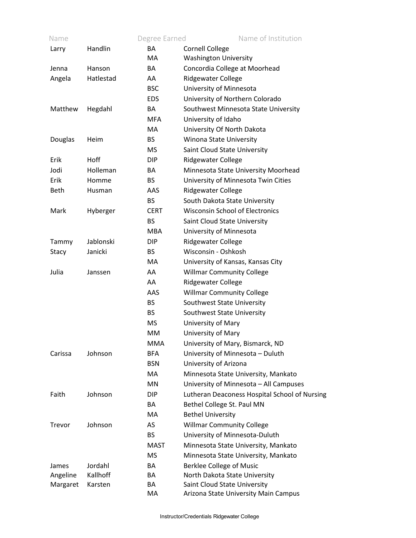| Name        |           | Degree Earned | Name of Institution                           |
|-------------|-----------|---------------|-----------------------------------------------|
| Larry       | Handlin   | <b>BA</b>     | <b>Cornell College</b>                        |
|             |           | МA            | <b>Washington University</b>                  |
| Jenna       | Hanson    | BA            | Concordia College at Moorhead                 |
| Angela      | Hatlestad | AA.           | <b>Ridgewater College</b>                     |
|             |           | <b>BSC</b>    | University of Minnesota                       |
|             |           | <b>EDS</b>    | University of Northern Colorado               |
| Matthew     | Hegdahl   | BA            | Southwest Minnesota State University          |
|             |           | <b>MFA</b>    | University of Idaho                           |
|             |           | МA            | University Of North Dakota                    |
| Douglas     | Heim      | <b>BS</b>     | Winona State University                       |
|             |           | MS            | Saint Cloud State University                  |
| Erik        | Hoff      | <b>DIP</b>    | <b>Ridgewater College</b>                     |
| Jodi        | Holleman  | BA            | Minnesota State University Moorhead           |
| Erik        | Homme     | <b>BS</b>     | University of Minnesota Twin Cities           |
| <b>Beth</b> | Husman    | AAS           | <b>Ridgewater College</b>                     |
|             |           | <b>BS</b>     | South Dakota State University                 |
| Mark        | Hyberger  | <b>CERT</b>   | <b>Wisconsin School of Electronics</b>        |
|             |           | <b>BS</b>     | Saint Cloud State University                  |
|             |           | <b>MBA</b>    | University of Minnesota                       |
| Tammy       | Jablonski | DIP.          | <b>Ridgewater College</b>                     |
| Stacy       | Janicki   | <b>BS</b>     | Wisconsin - Oshkosh                           |
|             |           | МA            | University of Kansas, Kansas City             |
| Julia       | Janssen   | AA            | <b>Willmar Community College</b>              |
|             |           | AA            | <b>Ridgewater College</b>                     |
|             |           | AAS           | <b>Willmar Community College</b>              |
|             |           | <b>BS</b>     | Southwest State University                    |
|             |           | <b>BS</b>     | Southwest State University                    |
|             |           | <b>MS</b>     | University of Mary                            |
|             |           | MM            | University of Mary                            |
|             |           | <b>MMA</b>    | University of Mary, Bismarck, ND              |
| Carissa     | Johnson   | <b>BFA</b>    | University of Minnesota - Duluth              |
|             |           | <b>BSN</b>    | University of Arizona                         |
|             |           | MA            | Minnesota State University, Mankato           |
|             |           | MN            | University of Minnesota - All Campuses        |
| Faith       | Johnson   | <b>DIP</b>    | Lutheran Deaconess Hospital School of Nursing |
|             |           | BA            | Bethel College St. Paul MN                    |
|             |           | <b>MA</b>     | <b>Bethel University</b>                      |
| Trevor      | Johnson   | AS            | <b>Willmar Community College</b>              |
|             |           | <b>BS</b>     | University of Minnesota-Duluth                |
|             |           | <b>MAST</b>   | Minnesota State University, Mankato           |
|             |           | <b>MS</b>     | Minnesota State University, Mankato           |
| James       | Jordahl   | BA            | <b>Berklee College of Music</b>               |
| Angeline    | Kallhoff  | BA            | North Dakota State University                 |
| Margaret    | Karsten   | ВA            | Saint Cloud State University                  |
|             |           | МA            | Arizona State University Main Campus          |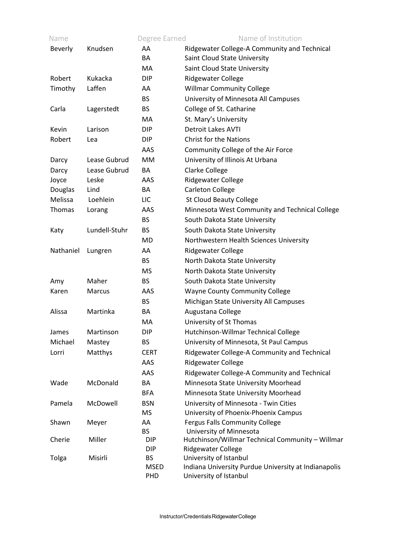| Ridgewater College-A Community and Technical<br>Knudsen<br>AA<br><b>Beverly</b><br><b>BA</b><br>Saint Cloud State University<br><b>MA</b><br>Saint Cloud State University<br>Robert<br>Kukacka<br><b>Ridgewater College</b><br><b>DIP</b><br>Laffen<br>Timothy<br><b>Willmar Community College</b><br>AA<br>University of Minnesota All Campuses<br><b>BS</b><br>College of St. Catharine<br><b>BS</b><br>Carla<br>Lagerstedt<br>St. Mary's University<br>MA.<br><b>Detroit Lakes AVTI</b><br><b>DIP</b><br>Kevin<br>Larison<br><b>Christ for the Nations</b><br>Robert<br>DIP.<br>Lea<br>AAS<br>Community College of the Air Force<br>University of Illinois At Urbana<br>Lease Gubrud<br>MM<br>Darcy<br>Lease Gubrud<br>Clarke College<br>BA<br>Darcy<br><b>Ridgewater College</b><br>Leske<br>Joyce<br>AAS<br>Douglas<br><b>Carleton College</b><br>Lind<br>BA<br>Melissa<br>Loehlein<br><b>St Cloud Beauty College</b><br>LIC<br>Minnesota West Community and Technical College<br>Thomas<br>Lorang<br>AAS<br><b>BS</b><br>South Dakota State University<br>Lundell-Stuhr<br><b>BS</b><br>South Dakota State University<br>Katy<br><b>MD</b><br>Northwestern Health Sciences University<br>Nathaniel<br><b>Ridgewater College</b><br>Lungren<br>AA |
|--------------------------------------------------------------------------------------------------------------------------------------------------------------------------------------------------------------------------------------------------------------------------------------------------------------------------------------------------------------------------------------------------------------------------------------------------------------------------------------------------------------------------------------------------------------------------------------------------------------------------------------------------------------------------------------------------------------------------------------------------------------------------------------------------------------------------------------------------------------------------------------------------------------------------------------------------------------------------------------------------------------------------------------------------------------------------------------------------------------------------------------------------------------------------------------------------------------------------------------------------------|
|                                                                                                                                                                                                                                                                                                                                                                                                                                                                                                                                                                                                                                                                                                                                                                                                                                                                                                                                                                                                                                                                                                                                                                                                                                                        |
|                                                                                                                                                                                                                                                                                                                                                                                                                                                                                                                                                                                                                                                                                                                                                                                                                                                                                                                                                                                                                                                                                                                                                                                                                                                        |
|                                                                                                                                                                                                                                                                                                                                                                                                                                                                                                                                                                                                                                                                                                                                                                                                                                                                                                                                                                                                                                                                                                                                                                                                                                                        |
|                                                                                                                                                                                                                                                                                                                                                                                                                                                                                                                                                                                                                                                                                                                                                                                                                                                                                                                                                                                                                                                                                                                                                                                                                                                        |
|                                                                                                                                                                                                                                                                                                                                                                                                                                                                                                                                                                                                                                                                                                                                                                                                                                                                                                                                                                                                                                                                                                                                                                                                                                                        |
|                                                                                                                                                                                                                                                                                                                                                                                                                                                                                                                                                                                                                                                                                                                                                                                                                                                                                                                                                                                                                                                                                                                                                                                                                                                        |
|                                                                                                                                                                                                                                                                                                                                                                                                                                                                                                                                                                                                                                                                                                                                                                                                                                                                                                                                                                                                                                                                                                                                                                                                                                                        |
|                                                                                                                                                                                                                                                                                                                                                                                                                                                                                                                                                                                                                                                                                                                                                                                                                                                                                                                                                                                                                                                                                                                                                                                                                                                        |
|                                                                                                                                                                                                                                                                                                                                                                                                                                                                                                                                                                                                                                                                                                                                                                                                                                                                                                                                                                                                                                                                                                                                                                                                                                                        |
|                                                                                                                                                                                                                                                                                                                                                                                                                                                                                                                                                                                                                                                                                                                                                                                                                                                                                                                                                                                                                                                                                                                                                                                                                                                        |
|                                                                                                                                                                                                                                                                                                                                                                                                                                                                                                                                                                                                                                                                                                                                                                                                                                                                                                                                                                                                                                                                                                                                                                                                                                                        |
|                                                                                                                                                                                                                                                                                                                                                                                                                                                                                                                                                                                                                                                                                                                                                                                                                                                                                                                                                                                                                                                                                                                                                                                                                                                        |
|                                                                                                                                                                                                                                                                                                                                                                                                                                                                                                                                                                                                                                                                                                                                                                                                                                                                                                                                                                                                                                                                                                                                                                                                                                                        |
|                                                                                                                                                                                                                                                                                                                                                                                                                                                                                                                                                                                                                                                                                                                                                                                                                                                                                                                                                                                                                                                                                                                                                                                                                                                        |
|                                                                                                                                                                                                                                                                                                                                                                                                                                                                                                                                                                                                                                                                                                                                                                                                                                                                                                                                                                                                                                                                                                                                                                                                                                                        |
|                                                                                                                                                                                                                                                                                                                                                                                                                                                                                                                                                                                                                                                                                                                                                                                                                                                                                                                                                                                                                                                                                                                                                                                                                                                        |
|                                                                                                                                                                                                                                                                                                                                                                                                                                                                                                                                                                                                                                                                                                                                                                                                                                                                                                                                                                                                                                                                                                                                                                                                                                                        |
|                                                                                                                                                                                                                                                                                                                                                                                                                                                                                                                                                                                                                                                                                                                                                                                                                                                                                                                                                                                                                                                                                                                                                                                                                                                        |
|                                                                                                                                                                                                                                                                                                                                                                                                                                                                                                                                                                                                                                                                                                                                                                                                                                                                                                                                                                                                                                                                                                                                                                                                                                                        |
|                                                                                                                                                                                                                                                                                                                                                                                                                                                                                                                                                                                                                                                                                                                                                                                                                                                                                                                                                                                                                                                                                                                                                                                                                                                        |
|                                                                                                                                                                                                                                                                                                                                                                                                                                                                                                                                                                                                                                                                                                                                                                                                                                                                                                                                                                                                                                                                                                                                                                                                                                                        |
| <b>BS</b><br>North Dakota State University                                                                                                                                                                                                                                                                                                                                                                                                                                                                                                                                                                                                                                                                                                                                                                                                                                                                                                                                                                                                                                                                                                                                                                                                             |
| <b>MS</b><br>North Dakota State University                                                                                                                                                                                                                                                                                                                                                                                                                                                                                                                                                                                                                                                                                                                                                                                                                                                                                                                                                                                                                                                                                                                                                                                                             |
| Maher<br><b>BS</b><br>South Dakota State University<br>Amy                                                                                                                                                                                                                                                                                                                                                                                                                                                                                                                                                                                                                                                                                                                                                                                                                                                                                                                                                                                                                                                                                                                                                                                             |
| <b>Wayne County Community College</b><br>Karen<br>Marcus<br>AAS                                                                                                                                                                                                                                                                                                                                                                                                                                                                                                                                                                                                                                                                                                                                                                                                                                                                                                                                                                                                                                                                                                                                                                                        |
| <b>BS</b><br>Michigan State University All Campuses                                                                                                                                                                                                                                                                                                                                                                                                                                                                                                                                                                                                                                                                                                                                                                                                                                                                                                                                                                                                                                                                                                                                                                                                    |
| Alissa<br>Martinka<br>Augustana College<br>BA                                                                                                                                                                                                                                                                                                                                                                                                                                                                                                                                                                                                                                                                                                                                                                                                                                                                                                                                                                                                                                                                                                                                                                                                          |
| University of St Thomas<br>MA.                                                                                                                                                                                                                                                                                                                                                                                                                                                                                                                                                                                                                                                                                                                                                                                                                                                                                                                                                                                                                                                                                                                                                                                                                         |
| Hutchinson-Willmar Technical College<br>Martinson<br>DIP<br>James                                                                                                                                                                                                                                                                                                                                                                                                                                                                                                                                                                                                                                                                                                                                                                                                                                                                                                                                                                                                                                                                                                                                                                                      |
| Michael<br><b>BS</b><br>University of Minnesota, St Paul Campus<br>Mastey                                                                                                                                                                                                                                                                                                                                                                                                                                                                                                                                                                                                                                                                                                                                                                                                                                                                                                                                                                                                                                                                                                                                                                              |
| Ridgewater College-A Community and Technical<br>Lorri<br>Matthys<br><b>CERT</b>                                                                                                                                                                                                                                                                                                                                                                                                                                                                                                                                                                                                                                                                                                                                                                                                                                                                                                                                                                                                                                                                                                                                                                        |
| AAS<br><b>Ridgewater College</b>                                                                                                                                                                                                                                                                                                                                                                                                                                                                                                                                                                                                                                                                                                                                                                                                                                                                                                                                                                                                                                                                                                                                                                                                                       |
| AAS<br>Ridgewater College-A Community and Technical                                                                                                                                                                                                                                                                                                                                                                                                                                                                                                                                                                                                                                                                                                                                                                                                                                                                                                                                                                                                                                                                                                                                                                                                    |
| Wade<br>McDonald<br>BA<br>Minnesota State University Moorhead                                                                                                                                                                                                                                                                                                                                                                                                                                                                                                                                                                                                                                                                                                                                                                                                                                                                                                                                                                                                                                                                                                                                                                                          |
| Minnesota State University Moorhead<br><b>BFA</b>                                                                                                                                                                                                                                                                                                                                                                                                                                                                                                                                                                                                                                                                                                                                                                                                                                                                                                                                                                                                                                                                                                                                                                                                      |
| University of Minnesota - Twin Cities<br>Pamela<br>McDowell<br><b>BSN</b>                                                                                                                                                                                                                                                                                                                                                                                                                                                                                                                                                                                                                                                                                                                                                                                                                                                                                                                                                                                                                                                                                                                                                                              |
| University of Phoenix-Phoenix Campus<br><b>MS</b>                                                                                                                                                                                                                                                                                                                                                                                                                                                                                                                                                                                                                                                                                                                                                                                                                                                                                                                                                                                                                                                                                                                                                                                                      |
| <b>Fergus Falls Community College</b><br>AA<br>Shawn<br>Meyer                                                                                                                                                                                                                                                                                                                                                                                                                                                                                                                                                                                                                                                                                                                                                                                                                                                                                                                                                                                                                                                                                                                                                                                          |
| <b>BS</b><br>University of Minnesota                                                                                                                                                                                                                                                                                                                                                                                                                                                                                                                                                                                                                                                                                                                                                                                                                                                                                                                                                                                                                                                                                                                                                                                                                   |
| Miller<br>Hutchinson/Willmar Technical Community - Willmar<br>Cherie<br>DIP                                                                                                                                                                                                                                                                                                                                                                                                                                                                                                                                                                                                                                                                                                                                                                                                                                                                                                                                                                                                                                                                                                                                                                            |
| Ridgewater College<br>DIP                                                                                                                                                                                                                                                                                                                                                                                                                                                                                                                                                                                                                                                                                                                                                                                                                                                                                                                                                                                                                                                                                                                                                                                                                              |
| University of Istanbul<br>Misirli<br><b>BS</b><br>Tolga                                                                                                                                                                                                                                                                                                                                                                                                                                                                                                                                                                                                                                                                                                                                                                                                                                                                                                                                                                                                                                                                                                                                                                                                |
| <b>MSED</b><br>Indiana University Purdue University at Indianapolis<br>University of Istanbul<br>PHD                                                                                                                                                                                                                                                                                                                                                                                                                                                                                                                                                                                                                                                                                                                                                                                                                                                                                                                                                                                                                                                                                                                                                   |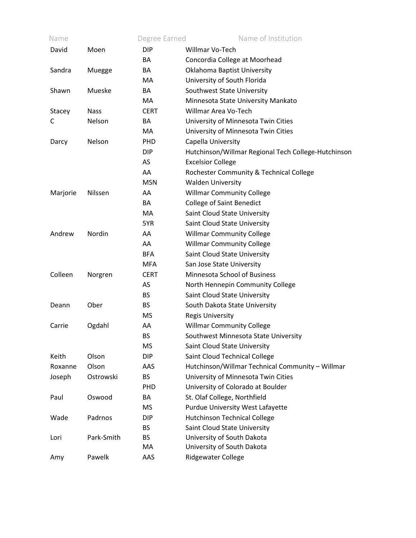| Name     |             | Degree Earned | Name of Institution                                 |
|----------|-------------|---------------|-----------------------------------------------------|
| David    | Moen        | <b>DIP</b>    | Willmar Vo-Tech                                     |
|          |             | BA            | Concordia College at Moorhead                       |
| Sandra   | Muegge      | BA            | Oklahoma Baptist University                         |
|          |             | MA            | University of South Florida                         |
| Shawn    | Mueske      | BA            | Southwest State University                          |
|          |             | MA            | Minnesota State University Mankato                  |
| Stacey   | <b>Nass</b> | <b>CERT</b>   | Willmar Area Vo-Tech                                |
| C        | Nelson      | BA            | University of Minnesota Twin Cities                 |
|          |             | MA            | University of Minnesota Twin Cities                 |
| Darcy    | Nelson      | <b>PHD</b>    | Capella University                                  |
|          |             | <b>DIP</b>    | Hutchinson/Willmar Regional Tech College-Hutchinson |
|          |             | AS            | <b>Excelsior College</b>                            |
|          |             | AA            | Rochester Community & Technical College             |
|          |             | <b>MSN</b>    | <b>Walden University</b>                            |
| Marjorie | Nilssen     | AA            | <b>Willmar Community College</b>                    |
|          |             | BA            | <b>College of Saint Benedict</b>                    |
|          |             | MA            | Saint Cloud State University                        |
|          |             | 5YR           | Saint Cloud State University                        |
| Andrew   | Nordin      | AA            | <b>Willmar Community College</b>                    |
|          |             | AA            | <b>Willmar Community College</b>                    |
|          |             | <b>BFA</b>    | Saint Cloud State University                        |
|          |             | <b>MFA</b>    | San Jose State University                           |
| Colleen  | Norgren     | <b>CERT</b>   | Minnesota School of Business                        |
|          |             | AS            | North Hennepin Community College                    |
|          |             | <b>BS</b>     | Saint Cloud State University                        |
| Deann    | Ober        | <b>BS</b>     | South Dakota State University                       |
|          |             | <b>MS</b>     | <b>Regis University</b>                             |
| Carrie   | Ogdahl      | AA            | <b>Willmar Community College</b>                    |
|          |             | <b>BS</b>     | Southwest Minnesota State University                |
|          |             | MS            | Saint Cloud State University                        |
| Keith    | Olson       | <b>DIP</b>    | Saint Cloud Technical College                       |
| Roxanne  | Olson       | AAS           | Hutchinson/Willmar Technical Community - Willmar    |
| Joseph   | Ostrowski   | <b>BS</b>     | University of Minnesota Twin Cities                 |
|          |             | PHD           | University of Colorado at Boulder                   |
| Paul     | Oswood      | BA            | St. Olaf College, Northfield                        |
|          |             | <b>MS</b>     | <b>Purdue University West Lafayette</b>             |
| Wade     | Padrnos     | <b>DIP</b>    | <b>Hutchinson Technical College</b>                 |
|          |             | <b>BS</b>     | Saint Cloud State University                        |
| Lori     | Park-Smith  | <b>BS</b>     | University of South Dakota                          |
|          |             | MA            | University of South Dakota                          |
| Amy      | Pawelk      | AAS           | Ridgewater College                                  |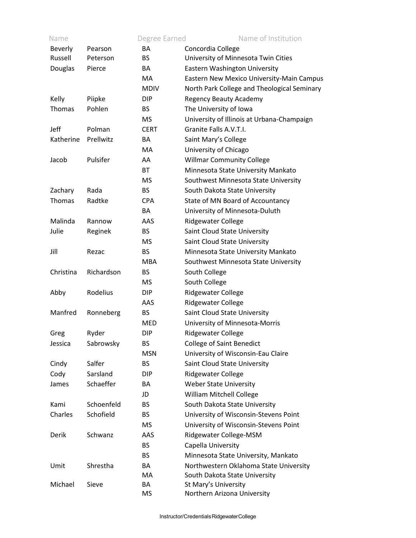| Name           |            | Degree Earned | Name of Institution                         |
|----------------|------------|---------------|---------------------------------------------|
| <b>Beverly</b> | Pearson    | <b>BA</b>     | Concordia College                           |
| Russell        | Peterson   | <b>BS</b>     | University of Minnesota Twin Cities         |
| Douglas        | Pierce     | BA            | Eastern Washington University               |
|                |            | MA            | Eastern New Mexico University-Main Campus   |
|                |            | <b>MDIV</b>   | North Park College and Theological Seminary |
| Kelly          | Piipke     | <b>DIP</b>    | <b>Regency Beauty Academy</b>               |
| Thomas         | Pohlen     | <b>BS</b>     | The University of Iowa                      |
|                |            | <b>MS</b>     | University of Illinois at Urbana-Champaign  |
| Jeff           | Polman     | <b>CERT</b>   | Granite Falls A.V.T.I.                      |
| Katherine      | Prellwitz  | BA            | Saint Mary's College                        |
|                |            | <b>MA</b>     | University of Chicago                       |
| Jacob          | Pulsifer   | AA            | <b>Willmar Community College</b>            |
|                |            | <b>BT</b>     | Minnesota State University Mankato          |
|                |            | <b>MS</b>     | Southwest Minnesota State University        |
| Zachary        | Rada       | <b>BS</b>     | South Dakota State University               |
| Thomas         | Radtke     | <b>CPA</b>    | State of MN Board of Accountancy            |
|                |            | BA            | University of Minnesota-Duluth              |
| Malinda        | Rannow     | AAS           | Ridgewater College                          |
| Julie          | Reginek    | <b>BS</b>     | Saint Cloud State University                |
|                |            | <b>MS</b>     | Saint Cloud State University                |
| Jill           | Rezac      | <b>BS</b>     | Minnesota State University Mankato          |
|                |            | <b>MBA</b>    | Southwest Minnesota State University        |
| Christina      | Richardson | <b>BS</b>     | South College                               |
|                |            | MS            | South College                               |
| Abby           | Rodelius   | <b>DIP</b>    | <b>Ridgewater College</b>                   |
|                |            | AAS           | Ridgewater College                          |
| Manfred        | Ronneberg  | <b>BS</b>     | Saint Cloud State University                |
|                |            | <b>MED</b>    | University of Minnesota-Morris              |
| Greg           | Ryder      | <b>DIP</b>    | Ridgewater College                          |
| Jessica        | Sabrowsky  | BS            | <b>College of Saint Benedict</b>            |
|                |            | <b>MSN</b>    | University of Wisconsin-Eau Claire          |
| Cindy          | Salfer     | <b>BS</b>     | Saint Cloud State University                |
| Cody           | Sarsland   | <b>DIP</b>    | <b>Ridgewater College</b>                   |
| James          | Schaeffer  | BA            | <b>Weber State University</b>               |
|                |            | JD            | William Mitchell College                    |
| Kami           | Schoenfeld | <b>BS</b>     | South Dakota State University               |
| Charles        | Schofield  | BS.           | University of Wisconsin-Stevens Point       |
|                |            | MS            | University of Wisconsin-Stevens Point       |
| Derik          | Schwanz    | AAS           | Ridgewater College-MSM                      |
|                |            | <b>BS</b>     | Capella University                          |
|                |            | <b>BS</b>     | Minnesota State University, Mankato         |
| Umit           | Shrestha   | BA            | Northwestern Oklahoma State University      |
|                |            | MA.           | South Dakota State University               |
| Michael        | Sieve      | BA            | St Mary's University                        |
|                |            | MS            | Northern Arizona University                 |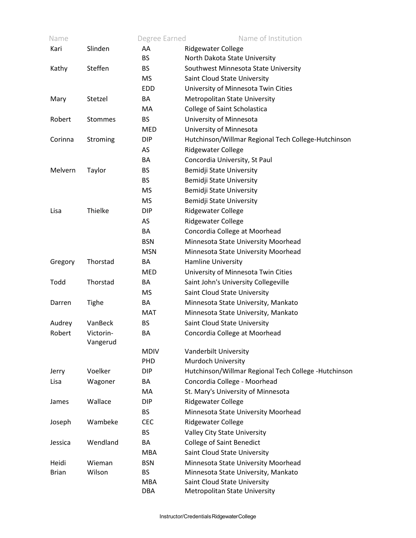| Name         |                | Degree Earned | Name of Institution                                  |
|--------------|----------------|---------------|------------------------------------------------------|
| Kari         | Slinden        | AA            | <b>Ridgewater College</b>                            |
|              |                | <b>BS</b>     | North Dakota State University                        |
| Kathy        | Steffen        | <b>BS</b>     | Southwest Minnesota State University                 |
|              |                | <b>MS</b>     | Saint Cloud State University                         |
|              |                | <b>EDD</b>    | University of Minnesota Twin Cities                  |
| Mary         | Stetzel        | BA            | Metropolitan State University                        |
|              |                | МA            | College of Saint Scholastica                         |
| Robert       | <b>Stommes</b> | <b>BS</b>     | University of Minnesota                              |
|              |                | MED           | University of Minnesota                              |
| Corinna      | Stroming       | <b>DIP</b>    | Hutchinson/Willmar Regional Tech College-Hutchinson  |
|              |                | AS            | Ridgewater College                                   |
|              |                | BA            | Concordia University, St Paul                        |
| Melvern      | Taylor         | <b>BS</b>     | Bemidji State University                             |
|              |                | <b>BS</b>     | Bemidji State University                             |
|              |                | <b>MS</b>     | Bemidji State University                             |
|              |                | <b>MS</b>     | Bemidji State University                             |
| Lisa         | Thielke        | <b>DIP</b>    | <b>Ridgewater College</b>                            |
|              |                | AS            | Ridgewater College                                   |
|              |                | BA            | Concordia College at Moorhead                        |
|              |                | <b>BSN</b>    | Minnesota State University Moorhead                  |
|              |                | <b>MSN</b>    | Minnesota State University Moorhead                  |
| Gregory      | Thorstad       | BA            | Hamline University                                   |
|              |                | MED           | University of Minnesota Twin Cities                  |
| Todd         | Thorstad       | BA            | Saint John's University Collegeville                 |
|              |                | <b>MS</b>     | Saint Cloud State University                         |
| Darren       | Tighe          | BA            | Minnesota State University, Mankato                  |
|              |                | MAT           | Minnesota State University, Mankato                  |
| Audrey       | VanBeck        | <b>BS</b>     | Saint Cloud State University                         |
| Robert       | Victorin-      | BA            | Concordia College at Moorhead                        |
|              | Vangerud       |               |                                                      |
|              |                | <b>MDIV</b>   | Vanderbilt University                                |
|              |                | <b>PHD</b>    | <b>Murdoch University</b>                            |
| Jerry        | Voelker        | DIP           | Hutchinson/Willmar Regional Tech College -Hutchinson |
| Lisa         | Wagoner        | BA            | Concordia College - Moorhead                         |
|              |                | МA            | St. Mary's University of Minnesota                   |
| James        | Wallace        | <b>DIP</b>    | <b>Ridgewater College</b>                            |
|              |                | <b>BS</b>     | Minnesota State University Moorhead                  |
| Joseph       | Wambeke        | <b>CEC</b>    | <b>Ridgewater College</b>                            |
|              |                | <b>BS</b>     | Valley City State University                         |
| Jessica      | Wendland       | BA            | <b>College of Saint Benedict</b>                     |
|              |                | <b>MBA</b>    | Saint Cloud State University                         |
| Heidi        | Wieman         | <b>BSN</b>    | Minnesota State University Moorhead                  |
| <b>Brian</b> | Wilson         | <b>BS</b>     | Minnesota State University, Mankato                  |
|              |                | <b>MBA</b>    | Saint Cloud State University                         |
|              |                | <b>DBA</b>    | Metropolitan State University                        |